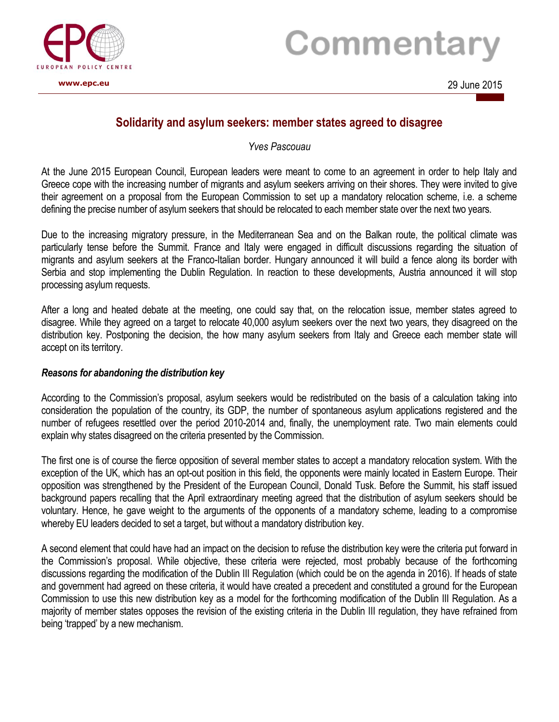

# Commentary

## **Solidarity and asylum seekers: member states agreed to disagree**

*Yves Pascouau*

At the June 2015 European Council, European leaders were meant to come to an agreement in order to help Italy and Greece cope with the increasing number of migrants and asylum seekers arriving on their shores. They were invited to give their agreement on a proposal from the European Commission to set up a mandatory relocation scheme, i.e. a scheme defining the precise number of asylum seekers that should be relocated to each member state over the next two years.

Due to the increasing migratory pressure, in the Mediterranean Sea and on the Balkan route, the political climate was particularly tense before the Summit. France and Italy were engaged in difficult discussions regarding the situation of migrants and asylum seekers at the Franco-Italian border. Hungary announced it will build a fence along its border with Serbia and stop implementing the Dublin Regulation. In reaction to these developments, Austria announced it will stop processing asylum requests.

After a long and heated debate at the meeting, one could say that, on the relocation issue, member states agreed to disagree. While they agreed on a target to relocate 40,000 asylum seekers over the next two years, they disagreed on the distribution key. Postponing the decision, the how many asylum seekers from Italy and Greece each member state will accept on its territory.

### *Reasons for abandoning the distribution key*

According to the Commission's proposal, asylum seekers would be redistributed on the basis of a calculation taking into consideration the population of the country, its GDP, the number of spontaneous asylum applications registered and the number of refugees resettled over the period 2010-2014 and, finally, the unemployment rate. Two main elements could explain why states disagreed on the criteria presented by the Commission.

The first one is of course the fierce opposition of several member states to accept a mandatory relocation system. With the exception of the UK, which has an opt-out position in this field, the opponents were mainly located in Eastern Europe. Their opposition was strengthened by the President of the European Council, Donald Tusk. Before the Summit, his staff issued background papers recalling that the April extraordinary meeting agreed that the distribution of asylum seekers should be voluntary. Hence, he gave weight to the arguments of the opponents of a mandatory scheme, leading to a compromise whereby EU leaders decided to set a target, but without a mandatory distribution key.

A second element that could have had an impact on the decision to refuse the distribution key were the criteria put forward in the Commission's proposal. While objective, these criteria were rejected, most probably because of the forthcoming discussions regarding the modification of the Dublin III Regulation (which could be on the agenda in 2016). If heads of state and government had agreed on these criteria, it would have created a precedent and constituted a ground for the European Commission to use this new distribution key as a model for the forthcoming modification of the Dublin III Regulation. As a majority of member states opposes the revision of the existing criteria in the Dublin III regulation, they have refrained from being 'trapped' by a new mechanism.